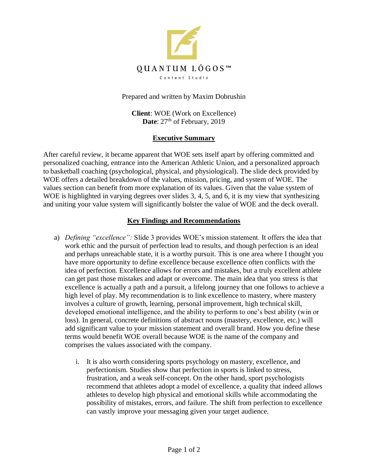

Prepared and written by Maxim Dobrushin

**Client**: WOE (Work on Excellence) Date: 27<sup>th</sup> of February, 2019

## **Executive Summary**

After careful review, it became apparent that WOE sets itself apart by offering committed and personalized coaching, entrance into the American Athletic Union, and a personalized approach to basketball coaching (psychological, physical, and physiological). The slide deck provided by WOE offers a detailed breakdown of the values, mission, pricing, and system of WOE. The values section can benefit from more explanation of its values. Given that the value system of WOE is highlighted in varying degrees over slides 3, 4, 5, and 6, it is my view that synthesizing and uniting your value system will significantly bolster the value of WOE and the deck overall.

## **Key Findings and Recommendations**

- a) *Defining "excellence":* Slide 3 provides WOE's mission statement. It offers the idea that work ethic and the pursuit of perfection lead to results, and though perfection is an ideal and perhaps unreachable state, it is a worthy pursuit. This is one area where I thought you have more opportunity to define excellence because excellence often conflicts with the idea of perfection. Excellence allows for errors and mistakes, but a truly excellent athlete can get past those mistakes and adapt or overcome. The main idea that you stress is that excellence is actually a path and a pursuit, a lifelong journey that one follows to achieve a high level of play. My recommendation is to link excellence to mastery, where mastery involves a culture of growth, learning, personal improvement, high technical skill, developed emotional intelligence, and the ability to perform to one's best ability (win or loss). In general, concrete definitions of abstract nouns (mastery, excellence, etc.) will add significant value to your mission statement and overall brand. How you define these terms would benefit WOE overall because WOE is the name of the company and comprises the values associated with the company.
	- i. It is also worth considering sports psychology on mastery, excellence, and perfectionism. Studies show that perfection in sports is linked to stress, frustration, and a weak self-concept. On the other hand, sport psychologists recommend that athletes adopt a model of excellence, a quality that indeed allows athletes to develop high physical and emotional skills while accommodating the possibility of mistakes, errors, and failure. The shift from perfection to excellence can vastly improve your messaging given your target audience.